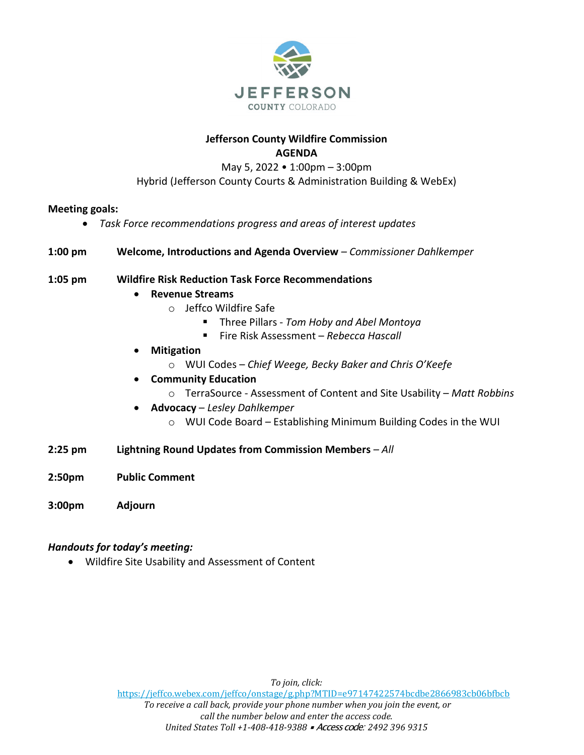

### **Jefferson County Wildfire Commission AGENDA**

May 5, 2022 • 1:00pm – 3:00pm Hybrid (Jefferson County Courts & Administration Building & WebEx)

## **Meeting goals:**

- *Task Force recommendations progress and areas of interest updates*
- **1:00 pm Welcome, Introductions and Agenda Overview** *– Commissioner Dahlkemper*

# **1:05 pm Wildfire Risk Reduction Task Force Recommendations**

- **Revenue Streams**
	- o Jeffco Wildfire Safe
		- Three Pillars *Tom Hoby and Abel Montoya*
		- Fire Risk Assessment *Rebecca Hascall*
- **Mitigation** 
	- o WUI Codes *Chief Weege, Becky Baker and Chris O'Keefe*
- **Community Education**
	- o TerraSource Assessment of Content and Site Usability *Matt Robbins*
- **Advocacy** *Lesley Dahlkemper*
	- o WUI Code Board Establishing Minimum Building Codes in the WUI
- **2:25 pm Lightning Round Updates from Commission Members** *– All*
- **2:50pm Public Comment**
- **3:00pm Adjourn**

### *Handouts for today's meeting:*

• Wildfire Site Usability and Assessment of Content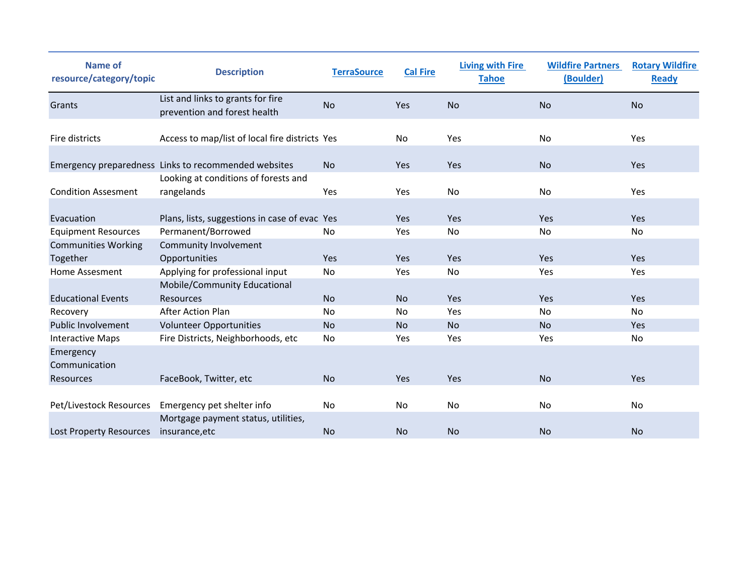| <b>Name of</b><br>resource/category/topic | <b>Description</b>                                                | <b>TerraSource</b> | <b>Cal Fire</b> | <b>Living with Fire</b><br><b>Tahoe</b> | <b>Wildfire Partners</b><br>(Boulder) | <b>Rotary Wildfire</b><br><b>Ready</b> |
|-------------------------------------------|-------------------------------------------------------------------|--------------------|-----------------|-----------------------------------------|---------------------------------------|----------------------------------------|
| Grants                                    | List and links to grants for fire<br>prevention and forest health | <b>No</b>          | Yes             | <b>No</b>                               | <b>No</b>                             | <b>No</b>                              |
| Fire districts                            | Access to map/list of local fire districts Yes                    |                    | No              | Yes                                     | No                                    | Yes                                    |
|                                           | Emergency preparedness Links to recommended websites              | No                 | Yes             | Yes                                     | <b>No</b>                             | Yes                                    |
| <b>Condition Assesment</b>                | Looking at conditions of forests and<br>rangelands                | Yes                | Yes             | No                                      | No                                    | Yes                                    |
| Evacuation                                | Plans, lists, suggestions in case of evac Yes                     |                    | Yes             | Yes                                     | Yes                                   | Yes                                    |
| <b>Equipment Resources</b>                | Permanent/Borrowed                                                | No                 | Yes             | No                                      | No                                    | No                                     |
| <b>Communities Working</b>                | Community Involvement                                             |                    |                 |                                         |                                       |                                        |
| Together                                  | Opportunities                                                     | Yes                | Yes             | Yes                                     | Yes                                   | Yes                                    |
| Home Assesment                            | Applying for professional input                                   | No                 | Yes             | <b>No</b>                               | Yes                                   | Yes                                    |
|                                           | Mobile/Community Educational                                      |                    |                 |                                         |                                       |                                        |
| <b>Educational Events</b>                 | <b>Resources</b>                                                  | <b>No</b>          | No              | Yes                                     | Yes                                   | <b>Yes</b>                             |
| Recovery                                  | <b>After Action Plan</b>                                          | No                 | No              | Yes                                     | No                                    | No                                     |
| Public Involvement                        | <b>Volunteer Opportunities</b>                                    | No                 | <b>No</b>       | <b>No</b>                               | <b>No</b>                             | Yes                                    |
| <b>Interactive Maps</b>                   | Fire Districts, Neighborhoods, etc                                | No                 | Yes             | Yes                                     | Yes                                   | No                                     |
| Emergency<br>Communication                |                                                                   |                    |                 |                                         |                                       |                                        |
| Resources                                 | FaceBook, Twitter, etc                                            | <b>No</b>          | Yes             | Yes                                     | <b>No</b>                             | Yes                                    |
|                                           |                                                                   |                    |                 |                                         |                                       |                                        |
| Pet/Livestock Resources                   | Emergency pet shelter info                                        | No                 | <b>No</b>       | <b>No</b>                               | <b>No</b>                             | No                                     |
|                                           | Mortgage payment status, utilities,                               |                    |                 |                                         |                                       |                                        |
| Lost Property Resources                   | insurance, etc                                                    | <b>No</b>          | <b>No</b>       | <b>No</b>                               | <b>No</b>                             | <b>No</b>                              |